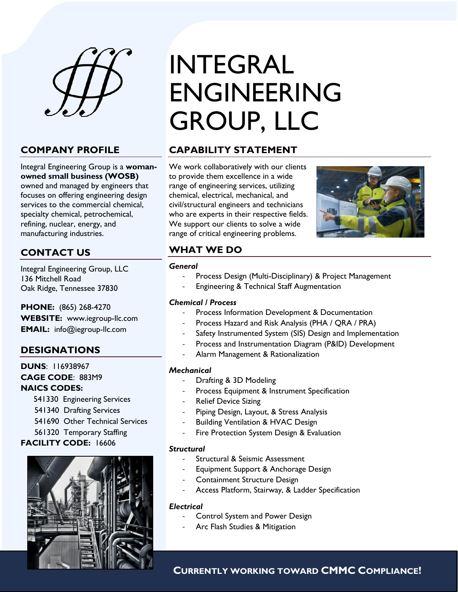

## **COMPANY PROFILE**

Integral Engineering Group is a **womanowned small business (WOSB)** owned and managed by engineers that focuses on offering engineering design services to the commercial chemical, specialty chemical, petrochemical, refining, nuclear, energy, and manufacturing industries.

## **CONTACT US**

Integral Engineering Group, LLC 136 Mitchell Road Oak Ridge, Tennessee 37830

**PHONE:** (865) 268-4270

**WEBSITE:** www.iegroup-llc.com **EMAIL:** info@iegroup-llc.com

## **DESIGNATIONS**

**DUNS**: 116938967 **CAGE CODE**: 883M9 **NAICS CODES:** 

- 541330 Engineering Services
- 541340 Drafting Services
- 541690 Other Technical Services
- 561320 Temporary Staffing

## **FACILITY CODE:** 16606



## INTEGRAL ENGINEERING GROUP, LLC

## **CAPABILITY STATEMENT**

We work collaboratively with our clients to provide them excellence in a wide range of engineering services, utilizing chemical, electrical, mechanical, and civil/structural engineers and technicians who are experts in their respective fields. We support our clients to solve a wide range of critical engineering problems.



## **WHAT WE DO**

#### *General*

- Process Design (Multi-Disciplinary) & Project Management
- Engineering & Technical Staff Augmentation

## *Chemical / Process*

- Process Information Development & Documentation
- Process Hazard and Risk Analysis (PHA / QRA / PRA)
- Safety Instrumented System (SIS) Design and Implementation
- Process and Instrumentation Diagram (P&ID) Development
- Alarm Management & Rationalization

## *Mechanical*

- Drafting & 3D Modeling
- Process Equipment & Instrument Specification
- Relief Device Sizing
- Piping Design, Layout, & Stress Analysis
- Building Ventilation & HVAC Design
- Fire Protection System Design & Evaluation

## *Structural*

- Structural & Seismic Assessment
- Equipment Support & Anchorage Design
- Containment Structure Design
- Access Platform, Stairway, & Ladder Specification

#### *Electrical*

- Control System and Power Design
	- Arc Flash Studies & Mitigation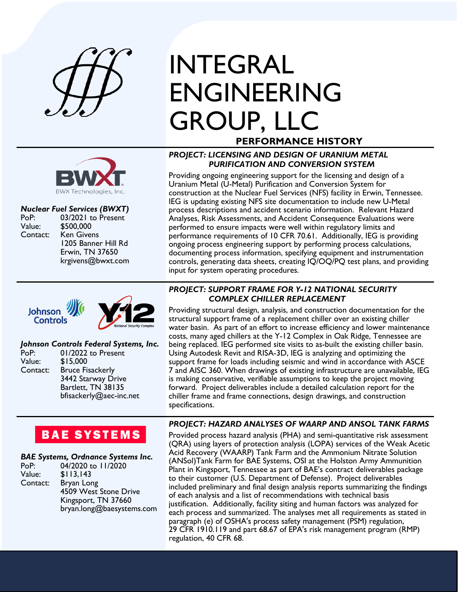

# **BWX Technologies, Inc.**

### *Nuclear Fuel Services (BWXT)*

PoP: 03/2021 to Present<br>Value: \$500.000 \$500,000 Contact: Ken Givens 1205 Banner Hill Rd Erwin, TN 37650 krgivens@bwxt.com



## *Johnson Controls Federal Systems, Inc.*

| PoP:     | 01/2022 to Present      |
|----------|-------------------------|
| Value:   | \$15,000                |
| Contact: | <b>Bruce Fisackerly</b> |
|          | 3442 Starway Drive      |
|          | Bartlett, TN 38135      |
|          | bfisackerly@aec-inc.net |

## INTEGRAL ENGINEERING GROUP, LLC

## **PERFORMANCE HISTORY**

## *PROJECT: LICENSING AND DESIGN OF URANIUM METAL PURIFICATION AND CONVERSION SYSTEM*

Providing ongoing engineering support for the licensing and design of a Uranium Metal (U-Metal) Purification and Conversion System for construction at the Nuclear Fuel Services (NFS) facility in Erwin, Tennessee. IEG is updating existing NFS site documentation to include new U-Metal process descriptions and accident scenario information. Relevant Hazard Analyses, Risk Assessments, and Accident Consequence Evaluations were performed to ensure impacts were well within regulatory limits and performance requirements of 10 CFR 70.61. Additionally, IEG is providing ongoing process engineering support by performing process calculations, documenting process information, specifying equipment and instrumentation controls, generating data sheets, creating IQ/OQ/PQ test plans, and providing input for system operating procedures.

## *PROJECT: SUPPORT FRAME FOR Y-12 NATIONAL SECURITY COMPLEX CHILLER REPLACEMENT*

Providing structural design, analysis, and construction documentation for the structural support frame of a replacement chiller over an existing chiller water basin. As part of an effort to increase efficiency and lower maintenance costs, many aged chillers at the Y-12 Complex in Oak Ridge, Tennessee are being replaced. IEG performed site visits to as-built the existing chiller basin. Using Autodesk Revit and RISA-3D, IEG is analyzing and optimizing the support frame for loads including seismic and wind in accordance with ASCE 7 and AISC 360. When drawings of existing infrastructure are unavailable, IEG is making conservative, verifiable assumptions to keep the project moving forward. Project deliverables include a detailed calculation report for the chiller frame and frame connections, design drawings, and construction specifications.

## *PROJECT: HAZARD ANALYSES OF WAARP AND ANSOL TANK FARMS*

Provided process hazard analysis (PHA) and semi-quantitative risk assessment (QRA) using layers of protection analysis (LOPA) services of the Weak Acetic Acid Recovery (WAARP) Tank Farm and the Ammonium Nitrate Solution (ANSol)Tank Farm for BAE Systems, OSI at the Holston Army Ammunition Plant in Kingsport, Tennessee as part of BAE's contract deliverables package to their customer (U.S. Department of Defense). Project deliverables included preliminary and final design analysis reports summarizing the findings of each analysis and a list of recommendations with technical basis justification. Additionally, facility siting and human factors was analyzed for each process and summarized. The analyses met all requirements as stated in paragraph (e) of OSHA's process safety management (PSM) regulation, 29 CFR 1910.119 and part 68.67 of EPA's risk management program (RMP) regulation, 40 CFR 68.

## **BAE SYSTEMS**

## *BAE Systems, Ordnance Systems Inc.*

| bryan.long@baesystems.com |
|---------------------------|
|                           |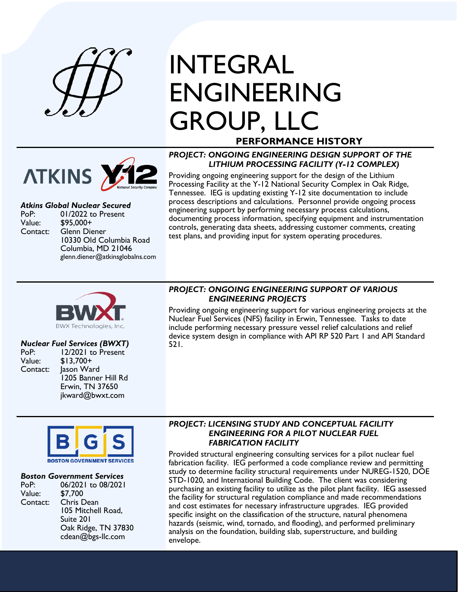

## INTEGRAL ENGINEERING GROUP, LLC **PERFORMANCE HISTORY**



## *Atkins Global Nuclear Secured*

PoP: 01/2022 to Present<br>Value: \$95.000+ \$95,000+ Contact: Glenn Diener 10330 Old Columbia Road Columbia, MD 21046 glenn.diener@atkinsglobalns.com

## *PROJECT: ONGOING ENGINEERING DESIGN SUPPORT OF THE LITHIUM PROCESSING FACILITY (Y-12 COMPLEX)*

Providing ongoing engineering support for the design of the Lithium Processing Facility at the Y-12 National Security Complex in Oak Ridge, Tennessee. IEG is updating existing Y-12 site documentation to include process descriptions and calculations. Personnel provide ongoing process engineering support by performing necessary process calculations, documenting process information, specifying equipment and instrumentation controls, generating data sheets, addressing customer comments, creating test plans, and providing input for system operating procedures.



## *Nuclear Fuel Services (BWXT)*

- PoP: 12/2021 to Present<br>Value: \$13.700+
- $$13,700+$ Contact: Jason Ward 1205 Banner Hill Rd Erwin, TN 37650 jkward@bwxt.com

#### *PROJECT: ONGOING ENGINEERING SUPPORT OF VARIOUS ENGINEERING PROJECTS*

Providing ongoing engineering support for various engineering projects at the Nuclear Fuel Services (NFS) facility in Erwin, Tennessee. Tasks to date include performing necessary pressure vessel relief calculations and relief device system design in compliance with API RP 520 Part 1 and API Standard 521.



#### *Boston Government Services*

| 06/2021 to 08/2021  |
|---------------------|
| \$7,700             |
| Chris Dean          |
| 105 Mitchell Road,  |
| Suite 201           |
| Oak Ridge, TN 37830 |
| cdean@bgs-llc.com   |
|                     |

#### *PROJECT: LICENSING STUDY AND CONCEPTUAL FACILITY ENGINEERING FOR A PILOT NUCLEAR FUEL FABRICATION FACILITY*

Provided structural engineering consulting services for a pilot nuclear fuel fabrication facility. IEG performed a code compliance review and permitting study to determine facility structural requirements under NUREG-1520, DOE STD-1020, and International Building Code. The client was considering purchasing an existing facility to utilize as the pilot plant facility. IEG assessed the facility for structural regulation compliance and made recommendations and cost estimates for necessary infrastructure upgrades. IEG provided specific insight on the classification of the structure, natural phenomena hazards (seismic, wind, tornado, and flooding), and performed preliminary analysis on the foundation, building slab, superstructure, and building envelope.